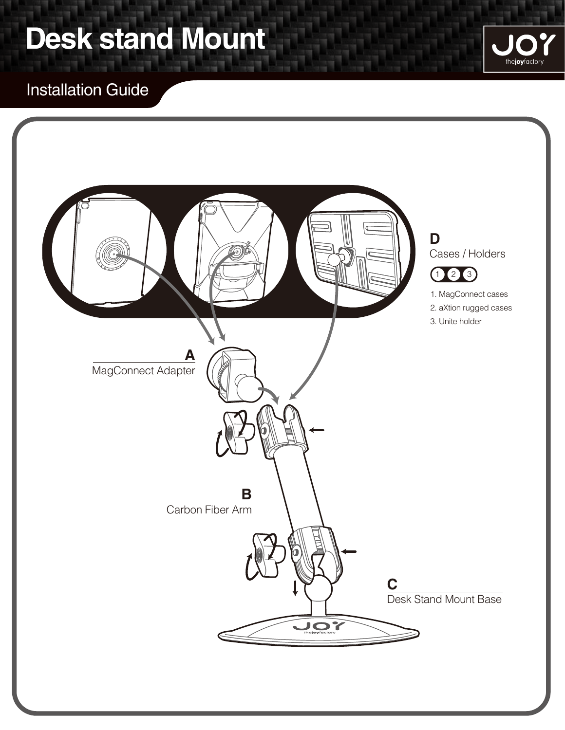## **Desk stand Mount**

## Installation Guide



thejoyfactory